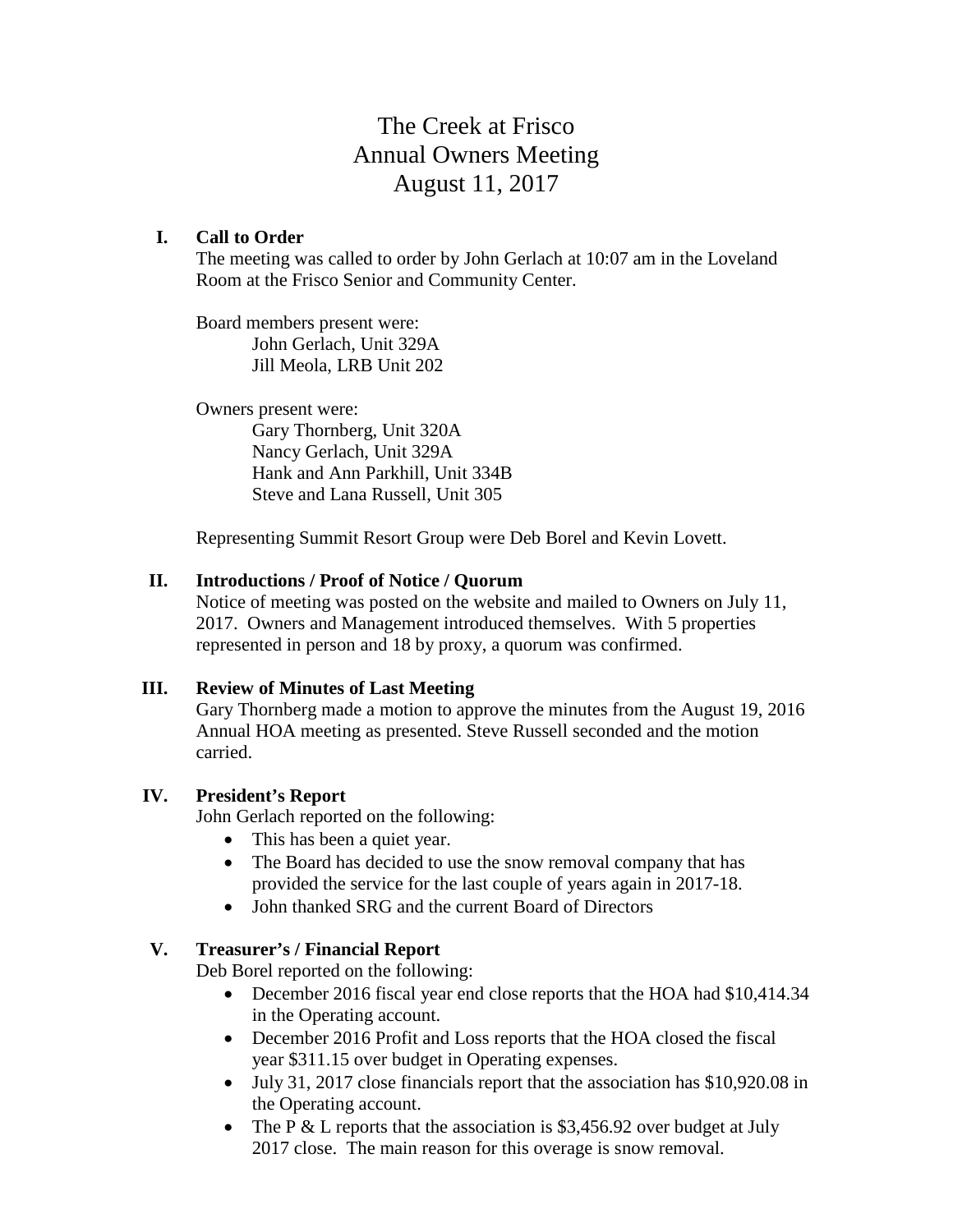# The Creek at Frisco Annual Owners Meeting August 11, 2017

#### **I. Call to Order**

The meeting was called to order by John Gerlach at 10:07 am in the Loveland Room at the Frisco Senior and Community Center.

Board members present were: John Gerlach, Unit 329A Jill Meola, LRB Unit 202

Owners present were:

Gary Thornberg, Unit 320A Nancy Gerlach, Unit 329A Hank and Ann Parkhill, Unit 334B Steve and Lana Russell, Unit 305

Representing Summit Resort Group were Deb Borel and Kevin Lovett.

#### **II. Introductions / Proof of Notice / Quorum**

Notice of meeting was posted on the website and mailed to Owners on July 11, 2017. Owners and Management introduced themselves. With 5 properties represented in person and 18 by proxy, a quorum was confirmed.

#### **III. Review of Minutes of Last Meeting**

Gary Thornberg made a motion to approve the minutes from the August 19, 2016 Annual HOA meeting as presented. Steve Russell seconded and the motion carried.

#### **IV. President's Report**

John Gerlach reported on the following:

- This has been a quiet year.
- The Board has decided to use the snow removal company that has provided the service for the last couple of years again in 2017-18.
- John thanked SRG and the current Board of Directors

#### **V. Treasurer's / Financial Report**

Deb Borel reported on the following:

- December 2016 fiscal year end close reports that the HOA had \$10,414.34 in the Operating account.
- December 2016 Profit and Loss reports that the HOA closed the fiscal year \$311.15 over budget in Operating expenses.
- July 31, 2017 close financials report that the association has \$10,920.08 in the Operating account.
- The P & L reports that the association is \$3,456.92 over budget at July 2017 close. The main reason for this overage is snow removal.